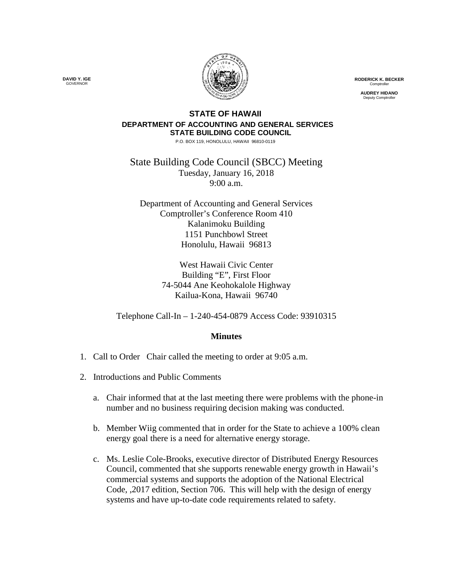

**RODERICK K. BECKER** Comptroller

**AUDREY HIDANO** Deputy Comptroller

## **STATE OF HAWAII DEPARTMENT OF ACCOUNTING AND GENERAL SERVICES STATE BUILDING CODE COUNCIL**

P.O. BOX 119, HONOLULU, HAWAII 96810-0119

State Building Code Council (SBCC) Meeting Tuesday, January 16, 2018 9:00 a.m.

Department of Accounting and General Services Comptroller's Conference Room 410 Kalanimoku Building 1151 Punchbowl Street Honolulu, Hawaii 96813

> West Hawaii Civic Center Building "E", First Floor 74-5044 Ane Keohokalole Highway Kailua-Kona, Hawaii 96740

Telephone Call-In – 1-240-454-0879 Access Code: 93910315

## **Minutes**

- 1. Call to Order Chair called the meeting to order at 9:05 a.m.
- 2. Introductions and Public Comments
	- a. Chair informed that at the last meeting there were problems with the phone-in number and no business requiring decision making was conducted.
	- b. Member Wiig commented that in order for the State to achieve a 100% clean energy goal there is a need for alternative energy storage.
	- c. Ms. Leslie Cole-Brooks, executive director of Distributed Energy Resources Council, commented that she supports renewable energy growth in Hawaii's commercial systems and supports the adoption of the National Electrical Code, ,2017 edition, Section 706. This will help with the design of energy systems and have up-to-date code requirements related to safety.

**DAVID Y. IGE** GOVERNOR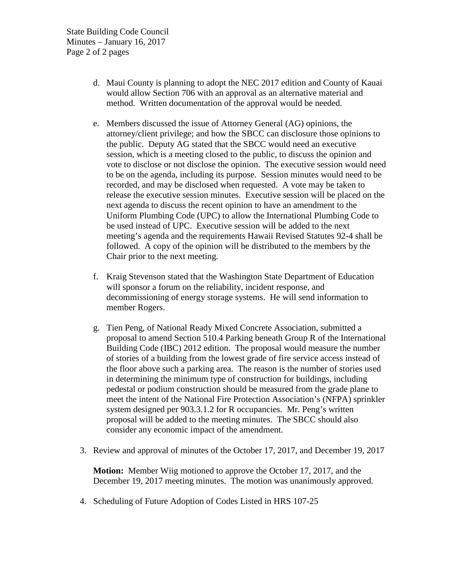State Building Code Council Minutes – January 16, 2017 Page 2 of 2 pages

- d. Maui County is planning to adopt the NEC 2017 edition and County of Kauai would allow Section 706 with an approval as an alternative material and method. Written documentation of the approval would be needed.
- e. Members discussed the issue of Attorney General (AG) opinions, the attorney/client privilege; and how the SBCC can disclosure those opinions to the public. Deputy AG stated that the SBCC would need an executive session, which is a meeting closed to the public, to discuss the opinion and vote to disclose or not disclose the opinion. The executive session would need to be on the agenda, including its purpose. Session minutes would need to be recorded, and may be disclosed when requested. A vote may be taken to release the executive session minutes. Executive session will be placed on the next agenda to discuss the recent opinion to have an amendment to the Uniform Plumbing Code (UPC) to allow the International Plumbing Code to be used instead of UPC. Executive session will be added to the next meeting's agenda and the requirements Hawaii Revised Statutes 92-4 shall be followed. A copy of the opinion will be distributed to the members by the Chair prior to the next meeting.
- f. Kraig Stevenson stated that the Washington State Department of Education will sponsor a forum on the reliability, incident response, and decommissioning of energy storage systems. He will send information to member Rogers.
- g. Tien Peng, of National Ready Mixed Concrete Association, submitted a proposal to amend Section 510.4 Parking beneath Group R of the International Building Code (IBC) 2012 edition. The proposal would measure the number of stories of a building from the lowest grade of fire service access instead of the floor above such a parking area. The reason is the number of stories used in determining the minimum type of construction for buildings, including pedestal or podium construction should be measured from the grade plane to meet the intent of the National Fire Protection Association's (NFPA) sprinkler system designed per 903.3.1.2 for R occupancies. Mr. Peng's written proposal will be added to the meeting minutes. The SBCC should also consider any economic impact of the amendment.
- 3. Review and approval of minutes of the October 17, 2017, and December 19, 2017

**Motion:** Member Wiig motioned to approve the October 17, 2017, and the December 19, 2017 meeting minutes. The motion was unanimously approved.

4. Scheduling of Future Adoption of Codes Listed in HRS 107-25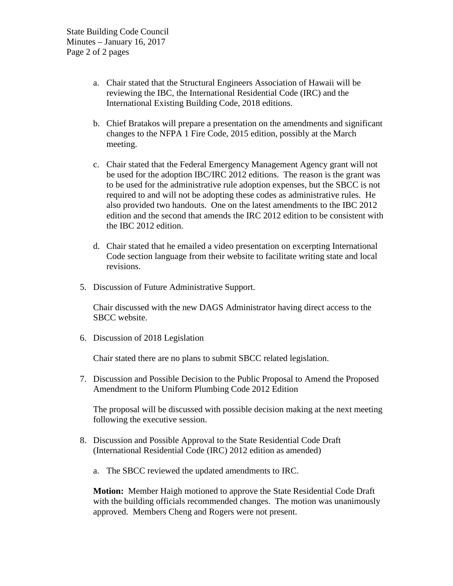- a. Chair stated that the Structural Engineers Association of Hawaii will be reviewing the IBC, the International Residential Code (IRC) and the International Existing Building Code, 2018 editions.
- b. Chief Bratakos will prepare a presentation on the amendments and significant changes to the NFPA 1 Fire Code, 2015 edition, possibly at the March meeting.
- c. Chair stated that the Federal Emergency Management Agency grant will not be used for the adoption IBC/IRC 2012 editions. The reason is the grant was to be used for the administrative rule adoption expenses, but the SBCC is not required to and will not be adopting these codes as administrative rules. He also provided two handouts. One on the latest amendments to the IBC 2012 edition and the second that amends the IRC 2012 edition to be consistent with the IBC 2012 edition.
- d. Chair stated that he emailed a video presentation on excerpting International Code section language from their website to facilitate writing state and local revisions.
- 5. Discussion of Future Administrative Support.

Chair discussed with the new DAGS Administrator having direct access to the SBCC website.

6. Discussion of 2018 Legislation

Chair stated there are no plans to submit SBCC related legislation.

7. Discussion and Possible Decision to the Public Proposal to Amend the Proposed Amendment to the Uniform Plumbing Code 2012 Edition

The proposal will be discussed with possible decision making at the next meeting following the executive session.

- 8. Discussion and Possible Approval to the State Residential Code Draft (International Residential Code (IRC) 2012 edition as amended)
	- a. The SBCC reviewed the updated amendments to IRC.

**Motion:** Member Haigh motioned to approve the State Residential Code Draft with the building officials recommended changes. The motion was unanimously approved. Members Cheng and Rogers were not present.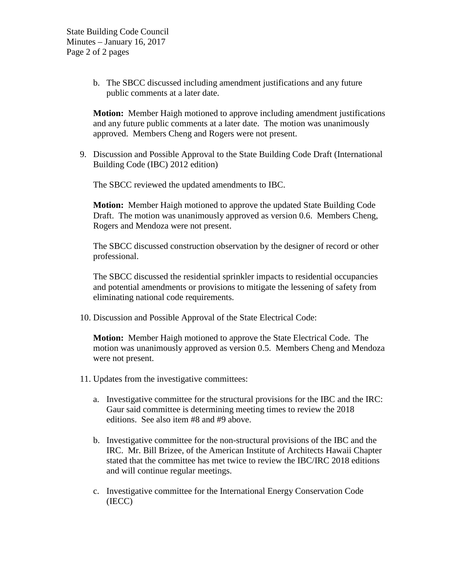b. The SBCC discussed including amendment justifications and any future public comments at a later date.

**Motion:** Member Haigh motioned to approve including amendment justifications and any future public comments at a later date. The motion was unanimously approved. Members Cheng and Rogers were not present.

9. Discussion and Possible Approval to the State Building Code Draft (International Building Code (IBC) 2012 edition)

The SBCC reviewed the updated amendments to IBC.

**Motion:** Member Haigh motioned to approve the updated State Building Code Draft. The motion was unanimously approved as version 0.6. Members Cheng, Rogers and Mendoza were not present.

The SBCC discussed construction observation by the designer of record or other professional.

The SBCC discussed the residential sprinkler impacts to residential occupancies and potential amendments or provisions to mitigate the lessening of safety from eliminating national code requirements.

10. Discussion and Possible Approval of the State Electrical Code:

**Motion:** Member Haigh motioned to approve the State Electrical Code. The motion was unanimously approved as version 0.5. Members Cheng and Mendoza were not present.

- 11. Updates from the investigative committees:
	- a. Investigative committee for the structural provisions for the IBC and the IRC: Gaur said committee is determining meeting times to review the 2018 editions. See also item #8 and #9 above.
	- b. Investigative committee for the non-structural provisions of the IBC and the IRC. Mr. Bill Brizee, of the American Institute of Architects Hawaii Chapter stated that the committee has met twice to review the IBC/IRC 2018 editions and will continue regular meetings.
	- c. Investigative committee for the International Energy Conservation Code (IECC)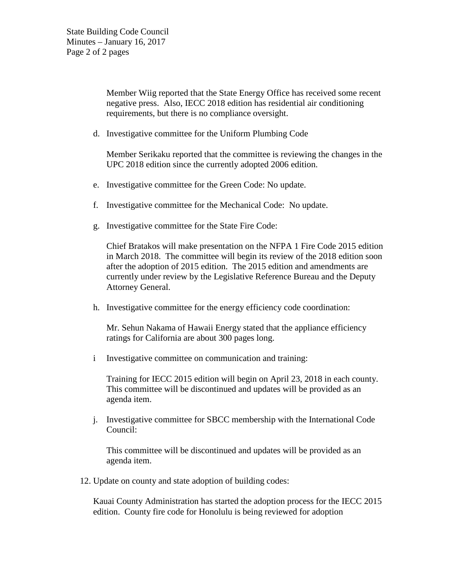Member Wiig reported that the State Energy Office has received some recent negative press. Also, IECC 2018 edition has residential air conditioning requirements, but there is no compliance oversight.

d. Investigative committee for the Uniform Plumbing Code

Member Serikaku reported that the committee is reviewing the changes in the UPC 2018 edition since the currently adopted 2006 edition.

- e. Investigative committee for the Green Code: No update.
- f. Investigative committee for the Mechanical Code: No update.
- g. Investigative committee for the State Fire Code:

Chief Bratakos will make presentation on the NFPA 1 Fire Code 2015 edition in March 2018. The committee will begin its review of the 2018 edition soon after the adoption of 2015 edition. The 2015 edition and amendments are currently under review by the Legislative Reference Bureau and the Deputy Attorney General.

h. Investigative committee for the energy efficiency code coordination:

Mr. Sehun Nakama of Hawaii Energy stated that the appliance efficiency ratings for California are about 300 pages long.

i Investigative committee on communication and training:

Training for IECC 2015 edition will begin on April 23, 2018 in each county. This committee will be discontinued and updates will be provided as an agenda item.

j. Investigative committee for SBCC membership with the International Code Council:

This committee will be discontinued and updates will be provided as an agenda item.

12. Update on county and state adoption of building codes:

Kauai County Administration has started the adoption process for the IECC 2015 edition. County fire code for Honolulu is being reviewed for adoption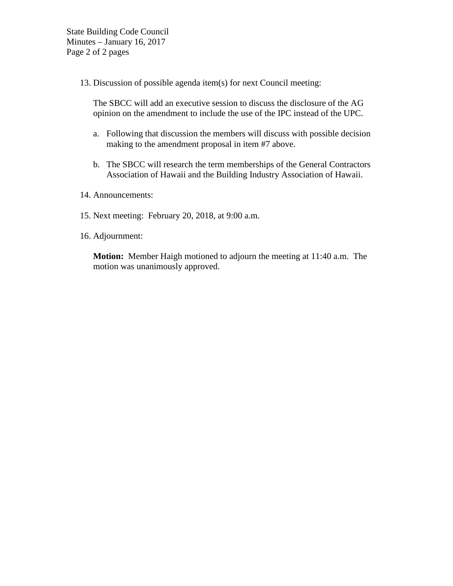State Building Code Council Minutes – January 16, 2017 Page 2 of 2 pages

13. Discussion of possible agenda item(s) for next Council meeting:

The SBCC will add an executive session to discuss the disclosure of the AG opinion on the amendment to include the use of the IPC instead of the UPC.

- a. Following that discussion the members will discuss with possible decision making to the amendment proposal in item #7 above.
- b. The SBCC will research the term memberships of the General Contractors Association of Hawaii and the Building Industry Association of Hawaii.
- 14. Announcements:
- 15. Next meeting: February 20, 2018, at 9:00 a.m.
- 16. Adjournment:

**Motion:** Member Haigh motioned to adjourn the meeting at 11:40 a.m. The motion was unanimously approved.